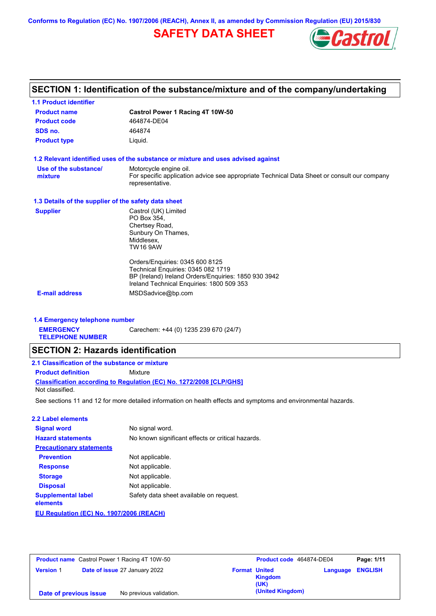**Conforms to Regulation (EC) No. 1907/2006 (REACH), Annex II, as amended by Commission Regulation (EU) 2015/830**

# **SAFETY DATA SHEET**



# **SECTION 1: Identification of the substance/mixture and of the company/undertaking**

| <b>1.1 Product identifier</b>                        |                                                                                                                                                                            |
|------------------------------------------------------|----------------------------------------------------------------------------------------------------------------------------------------------------------------------------|
| <b>Product name</b>                                  | Castrol Power 1 Racing 4T 10W-50                                                                                                                                           |
| <b>Product code</b>                                  | 464874-DE04                                                                                                                                                                |
| SDS no.                                              | 464874                                                                                                                                                                     |
| <b>Product type</b>                                  | Liquid.                                                                                                                                                                    |
|                                                      | 1.2 Relevant identified uses of the substance or mixture and uses advised against                                                                                          |
| Use of the substance/<br>mixture                     | Motorcycle engine oil.<br>For specific application advice see appropriate Technical Data Sheet or consult our company<br>representative.                                   |
| 1.3 Details of the supplier of the safety data sheet |                                                                                                                                                                            |
| <b>Supplier</b>                                      | Castrol (UK) Limited<br>PO Box 354,<br>Chertsey Road,<br>Sunbury On Thames,<br>Middlesex,<br><b>TW16 9AW</b>                                                               |
|                                                      | Orders/Enquiries: 0345 600 8125<br>Technical Enquiries: 0345 082 1719<br>BP (Ireland) Ireland Orders/Enquiries: 1850 930 3942<br>Ireland Technical Enquiries: 1800 509 353 |
| <b>E-mail address</b>                                | MSDSadvice@bp.com                                                                                                                                                          |
| 1.4 Emergency telephone number                       |                                                                                                                                                                            |
| <b>EMERGENCY</b><br><b>TELEPHONE NUMBER</b>          | Carechem: +44 (0) 1235 239 670 (24/7)                                                                                                                                      |
| <b>SECTION 2: Hazards identification</b>             |                                                                                                                                                                            |
| 2.1 Classification of the substance or mixture       |                                                                                                                                                                            |
| <b>Product definition</b>                            | Mixture                                                                                                                                                                    |
| Not classified.                                      | <b>Classification according to Regulation (EC) No. 1272/2008 [CLP/GHS]</b>                                                                                                 |
|                                                      | See sections 11 and 12 for more detailed information on health effects and symptoms and environmental hazards.                                                             |
| <b>2.2 Label elements</b>                            |                                                                                                                                                                            |
| <b>Signal word</b>                                   | No signal word.                                                                                                                                                            |
| <b>Hazard statements</b>                             | No known significant effects or critical hazards.                                                                                                                          |
|                                                      |                                                                                                                                                                            |

| <b>Precautionary statements</b>         |                                         |
|-----------------------------------------|-----------------------------------------|
| <b>Prevention</b>                       | Not applicable.                         |
| <b>Response</b>                         | Not applicable.                         |
| <b>Storage</b>                          | Not applicable.                         |
| <b>Disposal</b>                         | Not applicable.                         |
| <b>Supplemental label</b><br>elements   | Safety data sheet available on request. |
| EU Demiation (EO) No. 4007/0000 (DEAOU) |                                         |

**EU Regulation (EC) No. 1907/2006 (REACH)**

| <b>Product name</b> Castrol Power 1 Racing 4T 10W-50 |  | Product code 464874-DE04      |                      | Page: 1/11             |          |                |
|------------------------------------------------------|--|-------------------------------|----------------------|------------------------|----------|----------------|
| <b>Version 1</b>                                     |  | Date of issue 27 January 2022 | <b>Format United</b> | <b>Kingdom</b><br>(UK) | Language | <b>ENGLISH</b> |
| Date of previous issue                               |  | No previous validation.       |                      | (United Kingdom)       |          |                |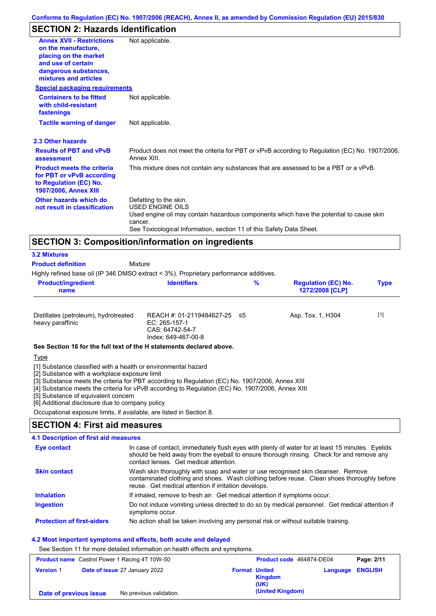# **SECTION 2: Hazards identification**

| <b>Annex XVII - Restrictions</b><br>on the manufacture.<br>placing on the market                                  | Not applicable.                                                                                                                                                                                                                 |
|-------------------------------------------------------------------------------------------------------------------|---------------------------------------------------------------------------------------------------------------------------------------------------------------------------------------------------------------------------------|
| and use of certain<br>dangerous substances,<br>mixtures and articles                                              |                                                                                                                                                                                                                                 |
| <b>Special packaging requirements</b>                                                                             |                                                                                                                                                                                                                                 |
| <b>Containers to be fitted</b><br>with child-resistant<br>fastenings                                              | Not applicable.                                                                                                                                                                                                                 |
| <b>Tactile warning of danger</b>                                                                                  | Not applicable.                                                                                                                                                                                                                 |
| 2.3 Other hazards                                                                                                 |                                                                                                                                                                                                                                 |
| <b>Results of PBT and vPvB</b><br>assessment                                                                      | Product does not meet the criteria for PBT or vPvB according to Regulation (EC) No. 1907/2006,<br>Annex XIII.                                                                                                                   |
| <b>Product meets the criteria</b><br>for PBT or vPvB according<br>to Regulation (EC) No.<br>1907/2006, Annex XIII | This mixture does not contain any substances that are assessed to be a PBT or a vPvB.                                                                                                                                           |
| Other hazards which do<br>not result in classification                                                            | Defatting to the skin.<br><b>USED ENGINE OILS</b><br>Used engine oil may contain hazardous components which have the potential to cause skin<br>cancer.<br>See Toxicological Information, section 11 of this Safety Data Sheet. |
|                                                                                                                   | <b>SECTION 3: Composition/information on ingredients</b>                                                                                                                                                                        |

| <b>3.2 Mixtures</b>                                                                    |                                                                                      |     |                                               |             |
|----------------------------------------------------------------------------------------|--------------------------------------------------------------------------------------|-----|-----------------------------------------------|-------------|
| <b>Product definition</b>                                                              | Mixture                                                                              |     |                                               |             |
| Highly refined base oil (IP 346 DMSO extract < 3%). Proprietary performance additives. |                                                                                      |     |                                               |             |
| <b>Product/ingredient</b><br>name                                                      | <b>Identifiers</b>                                                                   | %   | <b>Regulation (EC) No.</b><br>1272/2008 [CLP] | <b>Type</b> |
| Distillates (petroleum), hydrotreated<br>heavy paraffinic                              | REACH #: 01-2119484627-25<br>EC: 265-157-1<br>CAS: 64742-54-7<br>Index: 649-467-00-8 | -≤5 | Asp. Tox. 1, H304                             | $[1]$       |
| See Section 16 for the full text of the H statements declared above.                   |                                                                                      |     |                                               |             |
| <b>Type</b>                                                                            |                                                                                      |     |                                               |             |

[1] Substance classified with a health or environmental hazard

[2] Substance with a workplace exposure limit

[3] Substance meets the criteria for PBT according to Regulation (EC) No. 1907/2006, Annex XIII

[4] Substance meets the criteria for vPvB according to Regulation (EC) No. 1907/2006, Annex XIII

[5] Substance of equivalent concern

[6] Additional disclosure due to company policy

Occupational exposure limits, if available, are listed in Section 8.

## **SECTION 4: First aid measures**

### **4.1 Description of first aid measures**

| <b>Eye contact</b>                | In case of contact, immediately flush eyes with plenty of water for at least 15 minutes. Eyelids<br>should be held away from the eyeball to ensure thorough rinsing. Check for and remove any<br>contact lenses. Get medical attention. |
|-----------------------------------|-----------------------------------------------------------------------------------------------------------------------------------------------------------------------------------------------------------------------------------------|
| <b>Skin contact</b>               | Wash skin thoroughly with soap and water or use recognised skin cleanser. Remove<br>contaminated clothing and shoes. Wash clothing before reuse. Clean shoes thoroughly before<br>reuse. Get medical attention if irritation develops.  |
| <b>Inhalation</b>                 | If inhaled, remove to fresh air. Get medical attention if symptoms occur.                                                                                                                                                               |
| <b>Ingestion</b>                  | Do not induce vomiting unless directed to do so by medical personnel. Get medical attention if<br>symptoms occur.                                                                                                                       |
| <b>Protection of first-aiders</b> | No action shall be taken involving any personal risk or without suitable training.                                                                                                                                                      |

### **4.2 Most important symptoms and effects, both acute and delayed**

See Section 11 for more detailed information on health effects and symptoms.

|                        | <b>Product name</b> Castrol Power 1 Racing 4T 10W-50 |                      | Product code 464874-DE04 |                         | Page: 2/11 |
|------------------------|------------------------------------------------------|----------------------|--------------------------|-------------------------|------------|
| <b>Version 1</b>       | <b>Date of issue 27 January 2022</b>                 | <b>Format United</b> | Kingdom<br>(UK)          | <b>Language ENGLISH</b> |            |
| Date of previous issue | No previous validation.                              |                      | (United Kingdom)         |                         |            |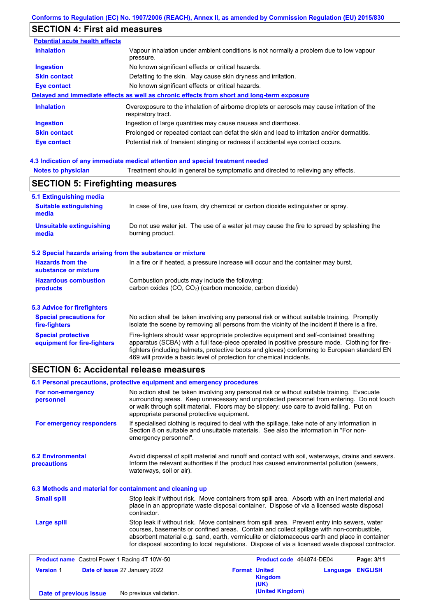# **SECTION 4: First aid measures**

| <b>Potential acute health effects</b> |                                                                                                                   |
|---------------------------------------|-------------------------------------------------------------------------------------------------------------------|
| <b>Inhalation</b>                     | Vapour inhalation under ambient conditions is not normally a problem due to low vapour<br>pressure.               |
| <b>Ingestion</b>                      | No known significant effects or critical hazards.                                                                 |
| <b>Skin contact</b>                   | Defatting to the skin. May cause skin dryness and irritation.                                                     |
| <b>Eye contact</b>                    | No known significant effects or critical hazards.                                                                 |
|                                       | Delayed and immediate effects as well as chronic effects from short and long-term exposure                        |
| <b>Inhalation</b>                     | Overexposure to the inhalation of airborne droplets or aerosols may cause irritation of the<br>respiratory tract. |
| <b>Ingestion</b>                      | Ingestion of large quantities may cause nausea and diarrhoea.                                                     |
| <b>Skin contact</b>                   | Prolonged or repeated contact can defat the skin and lead to irritation and/or dermatitis.                        |
| Eye contact                           | Potential risk of transient stinging or redness if accidental eye contact occurs.                                 |

### **4.3 Indication of any immediate medical attention and special treatment needed**

| <b>Notes to physician</b>                                 | Treatment should in general be symptomatic and directed to relieving any effects.                                                                                                                                                                                                                                                                                 |  |  |  |
|-----------------------------------------------------------|-------------------------------------------------------------------------------------------------------------------------------------------------------------------------------------------------------------------------------------------------------------------------------------------------------------------------------------------------------------------|--|--|--|
| <b>SECTION 5: Firefighting measures</b>                   |                                                                                                                                                                                                                                                                                                                                                                   |  |  |  |
| 5.1 Extinguishing media                                   |                                                                                                                                                                                                                                                                                                                                                                   |  |  |  |
| <b>Suitable extinguishing</b><br>media                    | In case of fire, use foam, dry chemical or carbon dioxide extinguisher or spray.                                                                                                                                                                                                                                                                                  |  |  |  |
| <b>Unsuitable extinguishing</b><br>media                  | Do not use water jet. The use of a water jet may cause the fire to spread by splashing the<br>burning product.                                                                                                                                                                                                                                                    |  |  |  |
| 5.2 Special hazards arising from the substance or mixture |                                                                                                                                                                                                                                                                                                                                                                   |  |  |  |
| <b>Hazards from the</b><br>substance or mixture           | In a fire or if heated, a pressure increase will occur and the container may burst.                                                                                                                                                                                                                                                                               |  |  |  |
| <b>Hazardous combustion</b>                               | Combustion products may include the following:                                                                                                                                                                                                                                                                                                                    |  |  |  |
| products                                                  | carbon oxides $(CO, CO2)$ (carbon monoxide, carbon dioxide)                                                                                                                                                                                                                                                                                                       |  |  |  |
| <b>5.3 Advice for firefighters</b>                        |                                                                                                                                                                                                                                                                                                                                                                   |  |  |  |
| <b>Special precautions for</b><br>fire-fighters           | No action shall be taken involving any personal risk or without suitable training. Promptly<br>isolate the scene by removing all persons from the vicinity of the incident if there is a fire.                                                                                                                                                                    |  |  |  |
| <b>Special protective</b><br>equipment for fire-fighters  | Fire-fighters should wear appropriate protective equipment and self-contained breathing<br>apparatus (SCBA) with a full face-piece operated in positive pressure mode. Clothing for fire-<br>fighters (including helmets, protective boots and gloves) conforming to European standard EN<br>469 will provide a basic level of protection for chemical incidents. |  |  |  |

## **SECTION 6: Accidental release measures**

|                                                      | 6.1 Personal precautions, protective equipment and emergency procedures |                                                                                                                                                                                                                                                                                                                                                                                                |          |                |
|------------------------------------------------------|-------------------------------------------------------------------------|------------------------------------------------------------------------------------------------------------------------------------------------------------------------------------------------------------------------------------------------------------------------------------------------------------------------------------------------------------------------------------------------|----------|----------------|
| For non-emergency<br>personnel                       | appropriate personal protective equipment.                              | No action shall be taken involving any personal risk or without suitable training. Evacuate<br>surrounding areas. Keep unnecessary and unprotected personnel from entering. Do not touch<br>or walk through spilt material. Floors may be slippery; use care to avoid falling. Put on                                                                                                          |          |                |
| For emergency responders                             | emergency personnel".                                                   | If specialised clothing is required to deal with the spillage, take note of any information in<br>Section 8 on suitable and unsuitable materials. See also the information in "For non-                                                                                                                                                                                                        |          |                |
| <b>6.2 Environmental</b><br>precautions              | waterways, soil or air).                                                | Avoid dispersal of spilt material and runoff and contact with soil, waterways, drains and sewers.<br>Inform the relevant authorities if the product has caused environmental pollution (sewers,                                                                                                                                                                                                |          |                |
|                                                      | 6.3 Methods and material for containment and cleaning up                |                                                                                                                                                                                                                                                                                                                                                                                                |          |                |
| <b>Small spill</b>                                   | contractor.                                                             | Stop leak if without risk. Move containers from spill area. Absorb with an inert material and<br>place in an appropriate waste disposal container. Dispose of via a licensed waste disposal                                                                                                                                                                                                    |          |                |
| Large spill                                          |                                                                         | Stop leak if without risk. Move containers from spill area. Prevent entry into sewers, water<br>courses, basements or confined areas. Contain and collect spillage with non-combustible,<br>absorbent material e.g. sand, earth, vermiculite or diatomaceous earth and place in container<br>for disposal according to local regulations. Dispose of via a licensed waste disposal contractor. |          |                |
| <b>Product name</b> Castrol Power 1 Racing 4T 10W-50 |                                                                         | Product code 464874-DE04                                                                                                                                                                                                                                                                                                                                                                       |          | Page: 3/11     |
| <b>Version 1</b>                                     | Date of issue 27 January 2022                                           | <b>Format United</b><br><b>Kingdom</b><br>(UK)                                                                                                                                                                                                                                                                                                                                                 | Language | <b>ENGLISH</b> |
| Date of previous issue                               | No previous validation.                                                 | (United Kingdom)                                                                                                                                                                                                                                                                                                                                                                               |          |                |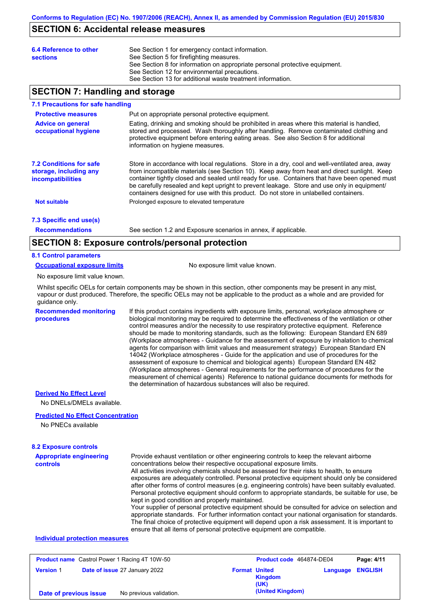## **SECTION 6: Accidental release measures**

| 6.4 Reference to other<br><b>sections</b> | See Section 1 for emergency contact information.<br>See Section 5 for firefighting measures.<br>See Section 8 for information on appropriate personal protective equipment.<br>See Section 12 for environmental precautions. |
|-------------------------------------------|------------------------------------------------------------------------------------------------------------------------------------------------------------------------------------------------------------------------------|
|                                           | See Section 13 for additional waste treatment information.                                                                                                                                                                   |

## **SECTION 7: Handling and storage**

#### **7.1 Precautions for safe handling**

| <b>Protective measures</b>                                                           | Put on appropriate personal protective equipment.                                                                                                                                                                                                                                                                                                                                                                                                                                        |
|--------------------------------------------------------------------------------------|------------------------------------------------------------------------------------------------------------------------------------------------------------------------------------------------------------------------------------------------------------------------------------------------------------------------------------------------------------------------------------------------------------------------------------------------------------------------------------------|
| <b>Advice on general</b><br>occupational hygiene                                     | Eating, drinking and smoking should be prohibited in areas where this material is handled,<br>stored and processed. Wash thoroughly after handling. Remove contaminated clothing and<br>protective equipment before entering eating areas. See also Section 8 for additional<br>information on hygiene measures.                                                                                                                                                                         |
| <b>7.2 Conditions for safe</b><br>storage, including any<br><i>incompatibilities</i> | Store in accordance with local requlations. Store in a dry, cool and well-ventilated area, away<br>from incompatible materials (see Section 10). Keep away from heat and direct sunlight. Keep<br>container tightly closed and sealed until ready for use. Containers that have been opened must<br>be carefully resealed and kept upright to prevent leakage. Store and use only in equipment/<br>containers designed for use with this product. Do not store in unlabelled containers. |
| <b>Not suitable</b>                                                                  | Prolonged exposure to elevated temperature                                                                                                                                                                                                                                                                                                                                                                                                                                               |
| 7.3 Specific end use(s)                                                              |                                                                                                                                                                                                                                                                                                                                                                                                                                                                                          |

**Recommendations**

See section 1.2 and Exposure scenarios in annex, if applicable.

## **SECTION 8: Exposure controls/personal protection**

### **8.1 Control parameters**

**Occupational exposure limits** No exposure limit value known.

No exposure limit value known.

Whilst specific OELs for certain components may be shown in this section, other components may be present in any mist, vapour or dust produced. Therefore, the specific OELs may not be applicable to the product as a whole and are provided for guidance only.

**Recommended monitoring procedures**

If this product contains ingredients with exposure limits, personal, workplace atmosphere or biological monitoring may be required to determine the effectiveness of the ventilation or other control measures and/or the necessity to use respiratory protective equipment. Reference should be made to monitoring standards, such as the following: European Standard EN 689 (Workplace atmospheres - Guidance for the assessment of exposure by inhalation to chemical agents for comparison with limit values and measurement strategy) European Standard EN 14042 (Workplace atmospheres - Guide for the application and use of procedures for the assessment of exposure to chemical and biological agents) European Standard EN 482 (Workplace atmospheres - General requirements for the performance of procedures for the measurement of chemical agents) Reference to national guidance documents for methods for the determination of hazardous substances will also be required.

### **Derived No Effect Level**

No DNELs/DMELs available.

#### **Predicted No Effect Concentration**

No PNECs available

#### **8.2 Exposure controls**

| <b>Appropriate engineering</b> | Provide exhaust ventilation or other engineering controls to keep the relevant airborne                                                                                                            |
|--------------------------------|----------------------------------------------------------------------------------------------------------------------------------------------------------------------------------------------------|
| controls                       | concentrations below their respective occupational exposure limits.                                                                                                                                |
|                                | All activities involving chemicals should be assessed for their risks to health, to ensure                                                                                                         |
|                                | exposures are adequately controlled. Personal protective equipment should only be considered                                                                                                       |
|                                | after other forms of control measures (e.g. engineering controls) have been suitably evaluated.                                                                                                    |
|                                | Personal protective equipment should conform to appropriate standards, be suitable for use, be                                                                                                     |
|                                | kept in good condition and properly maintained.                                                                                                                                                    |
|                                | Your supplier of personal protective equipment should be consulted for advice on selection and<br>appropriate standards. For further information contact your national organisation for standards. |
|                                | The final choice of protective equipment will depend upon a risk assessment. It is important to                                                                                                    |

ensure that all items of personal protective equipment are compatible.

### **Individual protection measures**

| <b>Product name</b> Castrol Power 1 Racing 4T 10W-50 |                               |                      | Product code 464874-DE04 |                         | Page: 4/11 |
|------------------------------------------------------|-------------------------------|----------------------|--------------------------|-------------------------|------------|
| <b>Version 1</b>                                     | Date of issue 27 January 2022 | <b>Format United</b> | Kingdom<br>(UK)          | <b>Language ENGLISH</b> |            |
| Date of previous issue                               | No previous validation.       |                      | (United Kingdom)         |                         |            |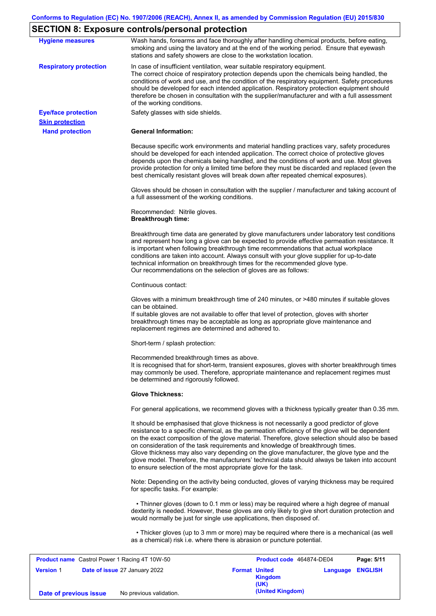## **SECTION 8: Exposure controls/personal protection**

| <b>Hygiene measures</b>                              | Wash hands, forearms and face thoroughly after handling chemical products, before eating,<br>smoking and using the lavatory and at the end of the working period. Ensure that eyewash<br>stations and safety showers are close to the workstation location.                                                                                                                                                                                                                                                                                                                                                                                       |
|------------------------------------------------------|---------------------------------------------------------------------------------------------------------------------------------------------------------------------------------------------------------------------------------------------------------------------------------------------------------------------------------------------------------------------------------------------------------------------------------------------------------------------------------------------------------------------------------------------------------------------------------------------------------------------------------------------------|
| <b>Respiratory protection</b>                        | In case of insufficient ventilation, wear suitable respiratory equipment.<br>The correct choice of respiratory protection depends upon the chemicals being handled, the<br>conditions of work and use, and the condition of the respiratory equipment. Safety procedures<br>should be developed for each intended application. Respiratory protection equipment should<br>therefore be chosen in consultation with the supplier/manufacturer and with a full assessment<br>of the working conditions.                                                                                                                                             |
| <b>Eye/face protection</b><br><b>Skin protection</b> | Safety glasses with side shields.                                                                                                                                                                                                                                                                                                                                                                                                                                                                                                                                                                                                                 |
| <b>Hand protection</b>                               | <b>General Information:</b>                                                                                                                                                                                                                                                                                                                                                                                                                                                                                                                                                                                                                       |
|                                                      | Because specific work environments and material handling practices vary, safety procedures<br>should be developed for each intended application. The correct choice of protective gloves<br>depends upon the chemicals being handled, and the conditions of work and use. Most gloves<br>provide protection for only a limited time before they must be discarded and replaced (even the<br>best chemically resistant gloves will break down after repeated chemical exposures).                                                                                                                                                                  |
|                                                      | Gloves should be chosen in consultation with the supplier / manufacturer and taking account of<br>a full assessment of the working conditions.                                                                                                                                                                                                                                                                                                                                                                                                                                                                                                    |
|                                                      | Recommended: Nitrile gloves.<br><b>Breakthrough time:</b>                                                                                                                                                                                                                                                                                                                                                                                                                                                                                                                                                                                         |
|                                                      | Breakthrough time data are generated by glove manufacturers under laboratory test conditions<br>and represent how long a glove can be expected to provide effective permeation resistance. It<br>is important when following breakthrough time recommendations that actual workplace<br>conditions are taken into account. Always consult with your glove supplier for up-to-date<br>technical information on breakthrough times for the recommended glove type.<br>Our recommendations on the selection of gloves are as follows:                                                                                                                |
|                                                      | Continuous contact:                                                                                                                                                                                                                                                                                                                                                                                                                                                                                                                                                                                                                               |
|                                                      | Gloves with a minimum breakthrough time of 240 minutes, or >480 minutes if suitable gloves<br>can be obtained.<br>If suitable gloves are not available to offer that level of protection, gloves with shorter<br>breakthrough times may be acceptable as long as appropriate glove maintenance and<br>replacement regimes are determined and adhered to.                                                                                                                                                                                                                                                                                          |
|                                                      | Short-term / splash protection:                                                                                                                                                                                                                                                                                                                                                                                                                                                                                                                                                                                                                   |
|                                                      | Recommended breakthrough times as above.<br>It is recognised that for short-term, transient exposures, gloves with shorter breakthrough times<br>may commonly be used. Therefore, appropriate maintenance and replacement regimes must<br>be determined and rigorously followed.                                                                                                                                                                                                                                                                                                                                                                  |
|                                                      | <b>Glove Thickness:</b>                                                                                                                                                                                                                                                                                                                                                                                                                                                                                                                                                                                                                           |
|                                                      | For general applications, we recommend gloves with a thickness typically greater than 0.35 mm.                                                                                                                                                                                                                                                                                                                                                                                                                                                                                                                                                    |
|                                                      | It should be emphasised that glove thickness is not necessarily a good predictor of glove<br>resistance to a specific chemical, as the permeation efficiency of the glove will be dependent<br>on the exact composition of the glove material. Therefore, glove selection should also be based<br>on consideration of the task requirements and knowledge of breakthrough times.<br>Glove thickness may also vary depending on the glove manufacturer, the glove type and the<br>glove model. Therefore, the manufacturers' technical data should always be taken into account<br>to ensure selection of the most appropriate glove for the task. |
|                                                      | Note: Depending on the activity being conducted, gloves of varying thickness may be required<br>for specific tasks. For example:                                                                                                                                                                                                                                                                                                                                                                                                                                                                                                                  |
|                                                      | • Thinner gloves (down to 0.1 mm or less) may be required where a high degree of manual<br>dexterity is needed. However, these gloves are only likely to give short duration protection and<br>would normally be just for single use applications, then disposed of.                                                                                                                                                                                                                                                                                                                                                                              |
|                                                      | • Thicker gloves (up to 3 mm or more) may be required where there is a mechanical (as well<br>as a chemical) risk i.e. where there is abrasion or puncture potential.                                                                                                                                                                                                                                                                                                                                                                                                                                                                             |

| <b>Product name</b> Castrol Power 1 Racing 4T 10W-50 |                               | Product code 464874-DE04 | Page: 5/11                              |                         |  |
|------------------------------------------------------|-------------------------------|--------------------------|-----------------------------------------|-------------------------|--|
| <b>Version 1</b>                                     | Date of issue 27 January 2022 |                          | <b>Format United</b><br>Kingdom<br>(UK) | <b>Language ENGLISH</b> |  |
| Date of previous issue                               | No previous validation.       |                          | (United Kingdom)                        |                         |  |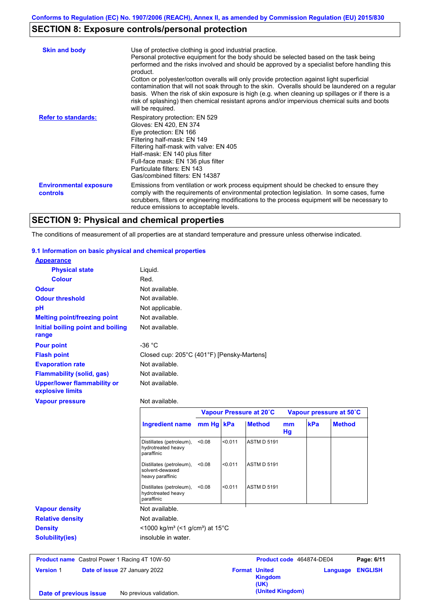# **SECTION 8: Exposure controls/personal protection**

| <b>Skin and body</b>                             | Use of protective clothing is good industrial practice.<br>Personal protective equipment for the body should be selected based on the task being<br>performed and the risks involved and should be approved by a specialist before handling this<br>product.<br>Cotton or polyester/cotton overalls will only provide protection against light superficial<br>contamination that will not soak through to the skin. Overalls should be laundered on a regular<br>basis. When the risk of skin exposure is high (e.g. when cleaning up spillages or if there is a<br>risk of splashing) then chemical resistant aprons and/or impervious chemical suits and boots<br>will be required. |
|--------------------------------------------------|---------------------------------------------------------------------------------------------------------------------------------------------------------------------------------------------------------------------------------------------------------------------------------------------------------------------------------------------------------------------------------------------------------------------------------------------------------------------------------------------------------------------------------------------------------------------------------------------------------------------------------------------------------------------------------------|
| <b>Refer to standards:</b>                       | Respiratory protection: EN 529<br>Gloves: EN 420, EN 374<br>Eye protection: EN 166<br>Filtering half-mask: EN 149<br>Filtering half-mask with valve: EN 405<br>Half-mask: EN 140 plus filter<br>Full-face mask: EN 136 plus filter<br>Particulate filters: EN 143<br>Gas/combined filters: EN 14387                                                                                                                                                                                                                                                                                                                                                                                   |
| <b>Environmental exposure</b><br><b>controls</b> | Emissions from ventilation or work process equipment should be checked to ensure they<br>comply with the requirements of environmental protection legislation. In some cases, fume<br>scrubbers, filters or engineering modifications to the process equipment will be necessary to<br>reduce emissions to acceptable levels.                                                                                                                                                                                                                                                                                                                                                         |

# **SECTION 9: Physical and chemical properties**

The conditions of measurement of all properties are at standard temperature and pressure unless otherwise indicated.

### **9.1 Information on basic physical and chemical properties**

| <b>Appearance</b>                                                  |                                                                 |           |         |                         |          |     |                         |
|--------------------------------------------------------------------|-----------------------------------------------------------------|-----------|---------|-------------------------|----------|-----|-------------------------|
| <b>Physical state</b>                                              | Liquid.                                                         |           |         |                         |          |     |                         |
| <b>Colour</b>                                                      | Red.                                                            |           |         |                         |          |     |                         |
| <b>Odour</b>                                                       | Not available.                                                  |           |         |                         |          |     |                         |
| <b>Odour threshold</b>                                             | Not available.                                                  |           |         |                         |          |     |                         |
| pH                                                                 | Not applicable.                                                 |           |         |                         |          |     |                         |
| <b>Melting point/freezing point</b>                                | Not available.                                                  |           |         |                         |          |     |                         |
| Initial boiling point and boiling<br>range                         | Not available.                                                  |           |         |                         |          |     |                         |
| <b>Pour point</b>                                                  | $-36 °C$                                                        |           |         |                         |          |     |                         |
| <b>Flash point</b>                                                 | Closed cup: 205°C (401°F) [Pensky-Martens]                      |           |         |                         |          |     |                         |
| <b>Evaporation rate</b>                                            | Not available.                                                  |           |         |                         |          |     |                         |
| <b>Flammability (solid, gas)</b>                                   | Not available.                                                  |           |         |                         |          |     |                         |
| <b>Upper/lower flammability or</b><br>explosive limits             | Not available.                                                  |           |         |                         |          |     |                         |
|                                                                    |                                                                 |           |         |                         |          |     |                         |
|                                                                    | Not available.                                                  |           |         |                         |          |     |                         |
| <b>Vapour pressure</b>                                             |                                                                 |           |         | Vapour Pressure at 20°C |          |     | Vapour pressure at 50°C |
|                                                                    | <b>Ingredient name</b>                                          | mm Hg kPa |         | <b>Method</b>           | mm<br>Hg | kPa | <b>Method</b>           |
|                                                                    | Distillates (petroleum),<br>hydrotreated heavy<br>paraffinic    | < 0.08    | < 0.011 | <b>ASTM D 5191</b>      |          |     |                         |
|                                                                    | Distillates (petroleum),<br>solvent-dewaxed<br>heavy paraffinic | < 0.08    | < 0.011 | <b>ASTM D 5191</b>      |          |     |                         |
|                                                                    | Distillates (petroleum),<br>hydrotreated heavy<br>paraffinic    | < 0.08    | < 0.011 | <b>ASTM D 5191</b>      |          |     |                         |
|                                                                    | Not available.                                                  |           |         |                         |          |     |                         |
|                                                                    | Not available.                                                  |           |         |                         |          |     |                         |
| <b>Vapour density</b><br><b>Relative density</b><br><b>Density</b> | $\leq$ 1000 kg/m <sup>3</sup> (<1 g/cm <sup>3</sup> ) at 15°C   |           |         |                         |          |     |                         |

**Version** 1 **Date of issue** 27 January 2022 **Format United Format United Kingdom (UK) Language ENGLISH Date of previous issue** No previous validation.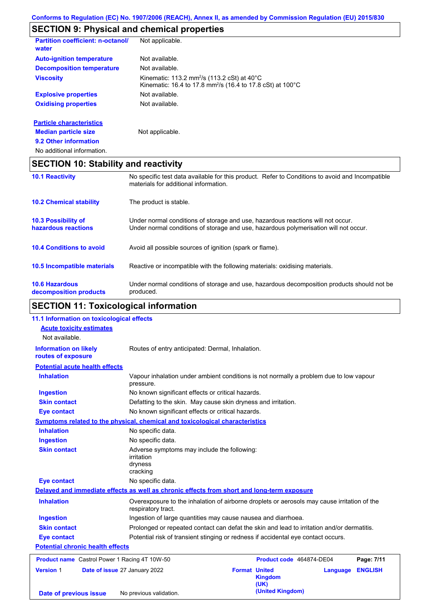# **SECTION 9: Physical and chemical properties**

| <b>Partition coefficient: n-octanol/</b><br>water | Not applicable.                                                                                                                             |
|---------------------------------------------------|---------------------------------------------------------------------------------------------------------------------------------------------|
| <b>Auto-ignition temperature</b>                  | Not available.                                                                                                                              |
| <b>Decomposition temperature</b>                  | Not available.                                                                                                                              |
| <b>Viscosity</b>                                  | Kinematic: 113.2 mm <sup>2</sup> /s (113.2 cSt) at $40^{\circ}$ C<br>Kinematic: 16.4 to 17.8 mm <sup>2</sup> /s (16.4 to 17.8 cSt) at 100°C |
| <b>Explosive properties</b>                       | Not available.                                                                                                                              |
| <b>Oxidising properties</b>                       | Not available.                                                                                                                              |
| <b>Particle characteristics</b>                   |                                                                                                                                             |
| <b>Median particle size</b>                       | Not applicable.                                                                                                                             |
| 9.2 Other information                             |                                                                                                                                             |
| No additional information.                        |                                                                                                                                             |

# **SECTION 10: Stability and reactivity**

| <b>10.1 Reactivity</b>                            | No specific test data available for this product. Refer to Conditions to avoid and Incompatible<br>materials for additional information.                                |
|---------------------------------------------------|-------------------------------------------------------------------------------------------------------------------------------------------------------------------------|
| <b>10.2 Chemical stability</b>                    | The product is stable.                                                                                                                                                  |
| <b>10.3 Possibility of</b><br>hazardous reactions | Under normal conditions of storage and use, hazardous reactions will not occur.<br>Under normal conditions of storage and use, hazardous polymerisation will not occur. |
| <b>10.4 Conditions to avoid</b>                   | Avoid all possible sources of ignition (spark or flame).                                                                                                                |
| <b>10.5 Incompatible materials</b>                | Reactive or incompatible with the following materials: oxidising materials.                                                                                             |
| <b>10.6 Hazardous</b><br>decomposition products   | Under normal conditions of storage and use, hazardous decomposition products should not be<br>produced.                                                                 |

# **SECTION 11: Toxicological information**

| 11.1 Information on toxicological effects            |                                                                                                                   |                                                                                   |                |  |  |  |
|------------------------------------------------------|-------------------------------------------------------------------------------------------------------------------|-----------------------------------------------------------------------------------|----------------|--|--|--|
| <b>Acute toxicity estimates</b>                      |                                                                                                                   |                                                                                   |                |  |  |  |
| Not available.                                       |                                                                                                                   |                                                                                   |                |  |  |  |
| <b>Information on likely</b><br>routes of exposure   | Routes of entry anticipated: Dermal, Inhalation.                                                                  |                                                                                   |                |  |  |  |
| <b>Potential acute health effects</b>                |                                                                                                                   |                                                                                   |                |  |  |  |
| <b>Inhalation</b>                                    | Vapour inhalation under ambient conditions is not normally a problem due to low vapour<br>pressure.               |                                                                                   |                |  |  |  |
| <b>Ingestion</b>                                     | No known significant effects or critical hazards.                                                                 |                                                                                   |                |  |  |  |
| <b>Skin contact</b>                                  | Defatting to the skin. May cause skin dryness and irritation.                                                     |                                                                                   |                |  |  |  |
| <b>Eye contact</b>                                   | No known significant effects or critical hazards.                                                                 |                                                                                   |                |  |  |  |
|                                                      | Symptoms related to the physical, chemical and toxicological characteristics                                      |                                                                                   |                |  |  |  |
| <b>Inhalation</b>                                    | No specific data.                                                                                                 |                                                                                   |                |  |  |  |
| <b>Ingestion</b>                                     | No specific data.                                                                                                 |                                                                                   |                |  |  |  |
| <b>Skin contact</b>                                  | Adverse symptoms may include the following:<br>irritation<br>dryness<br>cracking                                  |                                                                                   |                |  |  |  |
| <b>Eye contact</b>                                   | No specific data.                                                                                                 |                                                                                   |                |  |  |  |
|                                                      | Delayed and immediate effects as well as chronic effects from short and long-term exposure                        |                                                                                   |                |  |  |  |
| <b>Inhalation</b>                                    | Overexposure to the inhalation of airborne droplets or aerosols may cause irritation of the<br>respiratory tract. |                                                                                   |                |  |  |  |
| <b>Ingestion</b>                                     | Ingestion of large quantities may cause nausea and diarrhoea.                                                     |                                                                                   |                |  |  |  |
| <b>Skin contact</b>                                  | Prolonged or repeated contact can defat the skin and lead to irritation and/or dermatitis.                        |                                                                                   |                |  |  |  |
| <b>Eye contact</b>                                   |                                                                                                                   | Potential risk of transient stinging or redness if accidental eye contact occurs. |                |  |  |  |
| <b>Potential chronic health effects</b>              |                                                                                                                   |                                                                                   |                |  |  |  |
| <b>Product name</b> Castrol Power 1 Racing 4T 10W-50 |                                                                                                                   | Product code 464874-DE04                                                          | Page: 7/11     |  |  |  |
| <b>Version 1</b>                                     | Date of issue 27 January 2022                                                                                     | <b>Format United</b><br>Language<br><b>Kingdom</b><br>(UK)<br>(United Kingdom)    | <b>ENGLISH</b> |  |  |  |
| Date of previous issue                               | No previous validation.                                                                                           |                                                                                   |                |  |  |  |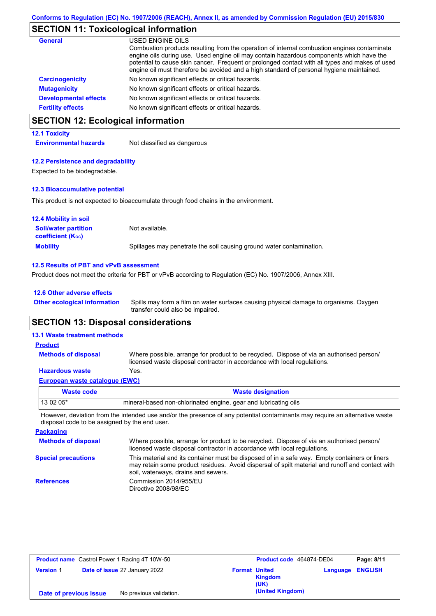# **SECTION 11: Toxicological information**

| <b>General</b>               | USED ENGINE OILS<br>Combustion products resulting from the operation of internal combustion engines contaminate<br>engine oils during use. Used engine oil may contain hazardous components which have the<br>potential to cause skin cancer. Frequent or prolonged contact with all types and makes of used<br>engine oil must therefore be avoided and a high standard of personal hygiene maintained. |
|------------------------------|----------------------------------------------------------------------------------------------------------------------------------------------------------------------------------------------------------------------------------------------------------------------------------------------------------------------------------------------------------------------------------------------------------|
| <b>Carcinogenicity</b>       | No known significant effects or critical hazards.                                                                                                                                                                                                                                                                                                                                                        |
| <b>Mutagenicity</b>          | No known significant effects or critical hazards.                                                                                                                                                                                                                                                                                                                                                        |
| <b>Developmental effects</b> | No known significant effects or critical hazards.                                                                                                                                                                                                                                                                                                                                                        |
| <b>Fertility effects</b>     | No known significant effects or critical hazards.                                                                                                                                                                                                                                                                                                                                                        |

# **SECTION 12: Ecological information**

### **12.1 Toxicity**

**Environmental hazards** Not classified as dangerous

### **12.2 Persistence and degradability**

Expected to be biodegradable.

### **12.3 Bioaccumulative potential**

This product is not expected to bioaccumulate through food chains in the environment.

| <b>12.4 Mobility in soil</b>                                  |                                                                      |
|---------------------------------------------------------------|----------------------------------------------------------------------|
| <b>Soil/water partition</b><br>coefficient (K <sub>oc</sub> ) | Not available.                                                       |
| <b>Mobility</b>                                               | Spillages may penetrate the soil causing ground water contamination. |

### **12.5 Results of PBT and vPvB assessment**

Product does not meet the criteria for PBT or vPvB according to Regulation (EC) No. 1907/2006, Annex XIII.

### **12.6 Other adverse effects**

Spills may form a film on water surfaces causing physical damage to organisms. Oxygen transfer could also be impaired. **Other ecological information**

## **SECTION 13: Disposal considerations**

### **13.1 Waste treatment methods**

**Methods of disposal**

## **Product**

Where possible, arrange for product to be recycled. Dispose of via an authorised person/ licensed waste disposal contractor in accordance with local regulations.

### **Hazardous waste** Yes.

| European waste catalogue (EWC) |  |  |
|--------------------------------|--|--|
|                                |  |  |

| Waste code | <b>Waste designation</b>                                         |  |  |  |  |
|------------|------------------------------------------------------------------|--|--|--|--|
| $130205*$  | Imineral-based non-chlorinated engine, gear and lubricating oils |  |  |  |  |
| .<br>.     |                                                                  |  |  |  |  |

However, deviation from the intended use and/or the presence of any potential contaminants may require an alternative waste disposal code to be assigned by the end user.

| <b>Packaging</b>           |                                                                                                                                                                                                                                         |
|----------------------------|-----------------------------------------------------------------------------------------------------------------------------------------------------------------------------------------------------------------------------------------|
| <b>Methods of disposal</b> | Where possible, arrange for product to be recycled. Dispose of via an authorised person/<br>licensed waste disposal contractor in accordance with local regulations.                                                                    |
| <b>Special precautions</b> | This material and its container must be disposed of in a safe way. Empty containers or liners<br>may retain some product residues. Avoid dispersal of spilt material and runoff and contact with<br>soil, waterways, drains and sewers. |
| <b>References</b>          | Commission 2014/955/EU<br>Directive 2008/98/EC                                                                                                                                                                                          |

| <b>Product name</b> Castrol Power 1 Racing 4T 10W-50 |  | Product code 464874-DE04      |                      | Page: 8/11             |          |                |
|------------------------------------------------------|--|-------------------------------|----------------------|------------------------|----------|----------------|
| <b>Version 1</b>                                     |  | Date of issue 27 January 2022 | <b>Format United</b> | <b>Kingdom</b><br>(UK) | Language | <b>ENGLISH</b> |
| Date of previous issue                               |  | No previous validation.       |                      | (United Kingdom)       |          |                |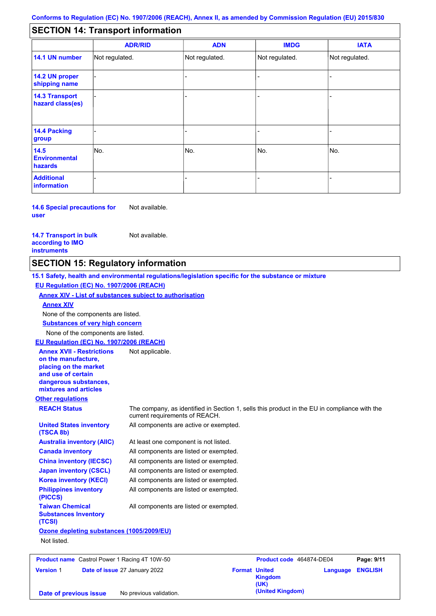#### - - - - - - - - - Not regulated. Not regulated. Not regulated. - - - **SECTION 14: Transport information ADR/RID IMDG IATA 14.1 UN number 14.2 UN proper shipping name 14.3 Transport hazard class(es) 14.4 Packing group ADN Additional information 14.5 Environmental hazards** No. 1980 | No. 1980 | No. 1980 | No. 1980 | No. 1980 | No. 1980 | No. 1980 | No. 1980 | No. 1980 | No. 1980 | Not regulated. - -<br>No. - -

**14.6 Special precautions for user** Not available.

### **14.7 Transport in bulk according to IMO instruments**

Not available.

## **SECTION 15: Regulatory information**

**Other regulations REACH Status** The company, as identified in Section 1, sells this product in the EU in compliance with the current requirements of REACH. **15.1 Safety, health and environmental regulations/legislation specific for the substance or mixture EU Regulation (EC) No. 1907/2006 (REACH) Annex XIV - List of substances subject to authorisation Substances of very high concern** None of the components are listed. At least one component is not listed. All components are listed or exempted. All components are listed or exempted. All components are listed or exempted. All components are active or exempted. All components are listed or exempted. All components are listed or exempted. **United States inventory (TSCA 8b) Australia inventory (AIIC) Canada inventory China inventory (IECSC) Japan inventory (CSCL) Korea inventory (KECI) Philippines inventory (PICCS) Taiwan Chemical Substances Inventory (TCSI)** All components are listed or exempted. **Ozone depleting substances (1005/2009/EU)** Not listed. None of the components are listed. **Annex XIV EU Regulation (EC) No. 1907/2006 (REACH) Annex XVII - Restrictions on the manufacture, placing on the market and use of certain dangerous substances, mixtures and articles** Not applicable.

**Product name** Castrol Power 1 Racing 4T 10W-50 **Product Code 464874-DE04 Page: 9/11 Version** 1 **Date of issue** 27 January 2022 **Format United Kingdom (UK) Language ENGLISH (United Kingdom) Date of previous issue** No previous validation.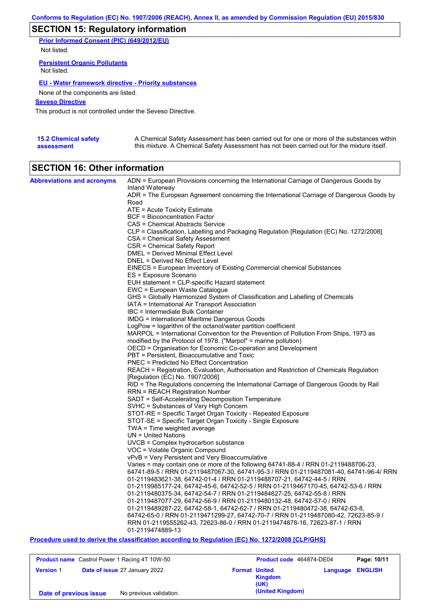# **SECTION 15: Regulatory information**

**Prior Informed Consent (PIC) (649/2012/EU)** Not listed.

**Persistent Organic Pollutants** Not listed.

## **EU - Water framework directive - Priority substances**

None of the components are listed.

### **Seveso Directive**

This product is not controlled under the Seveso Directive.

| <b>15.2 Chemical safety</b> | A Chemical Safety Assessment has been carried out for one or more of the substances within  |
|-----------------------------|---------------------------------------------------------------------------------------------|
| assessment                  | this mixture. A Chemical Safety Assessment has not been carried out for the mixture itself. |

# **SECTION 16: Other information**

| <b>Abbreviations and acronyms</b> | ADN = European Provisions concerning the International Carriage of Dangerous Goods by            |
|-----------------------------------|--------------------------------------------------------------------------------------------------|
|                                   | Inland Waterway                                                                                  |
|                                   | ADR = The European Agreement concerning the International Carriage of Dangerous Goods by<br>Road |
|                                   |                                                                                                  |
|                                   | $ATE =$ Acute Toxicity Estimate<br><b>BCF</b> = Bioconcentration Factor                          |
|                                   | CAS = Chemical Abstracts Service                                                                 |
|                                   | CLP = Classification, Labelling and Packaging Regulation [Regulation (EC) No. 1272/2008]         |
|                                   | CSA = Chemical Safety Assessment                                                                 |
|                                   | CSR = Chemical Safety Report                                                                     |
|                                   | <b>DMEL = Derived Minimal Effect Level</b>                                                       |
|                                   | DNEL = Derived No Effect Level                                                                   |
|                                   | EINECS = European Inventory of Existing Commercial chemical Substances                           |
|                                   | ES = Exposure Scenario                                                                           |
|                                   | EUH statement = CLP-specific Hazard statement                                                    |
|                                   | EWC = European Waste Catalogue                                                                   |
|                                   | GHS = Globally Harmonized System of Classification and Labelling of Chemicals                    |
|                                   | IATA = International Air Transport Association                                                   |
|                                   | IBC = Intermediate Bulk Container                                                                |
|                                   | IMDG = International Maritime Dangerous Goods                                                    |
|                                   | LogPow = logarithm of the octanol/water partition coefficient                                    |
|                                   | MARPOL = International Convention for the Prevention of Pollution From Ships, 1973 as            |
|                                   | modified by the Protocol of 1978. ("Marpol" = marine pollution)                                  |
|                                   | OECD = Organisation for Economic Co-operation and Development                                    |
|                                   | PBT = Persistent, Bioaccumulative and Toxic                                                      |
|                                   | <b>PNEC = Predicted No Effect Concentration</b>                                                  |
|                                   | REACH = Registration, Evaluation, Authorisation and Restriction of Chemicals Regulation          |
|                                   | [Regulation (EC) No. 1907/2006]                                                                  |
|                                   | RID = The Regulations concerning the International Carriage of Dangerous Goods by Rail           |
|                                   | <b>RRN = REACH Registration Number</b>                                                           |
|                                   | SADT = Self-Accelerating Decomposition Temperature                                               |
|                                   | SVHC = Substances of Very High Concern                                                           |
|                                   | STOT-RE = Specific Target Organ Toxicity - Repeated Exposure                                     |
|                                   | STOT-SE = Specific Target Organ Toxicity - Single Exposure                                       |
|                                   | $TWA = Time$ weighted average                                                                    |
|                                   | $UN = United Nations$                                                                            |
|                                   | $UVCB = Complex\;hydrocarbon\; substance$                                                        |
|                                   | VOC = Volatile Organic Compound                                                                  |
|                                   | vPvB = Very Persistent and Very Bioaccumulative                                                  |
|                                   | Varies = may contain one or more of the following $64741-88-4$ / RRN 01-2119488706-23,           |
|                                   | 64741-89-5 / RRN 01-2119487067-30, 64741-95-3 / RRN 01-2119487081-40, 64741-96-4/ RRN            |
|                                   | 01-2119483621-38, 64742-01-4 / RRN 01-2119488707-21, 64742-44-5 / RRN                            |
|                                   | 01-2119985177-24, 64742-45-6, 64742-52-5 / RRN 01-2119467170-45, 64742-53-6 / RRN                |
|                                   | 01-2119480375-34, 64742-54-7 / RRN 01-2119484627-25, 64742-55-8 / RRN                            |
|                                   | 01-2119487077-29, 64742-56-9 / RRN 01-2119480132-48, 64742-57-0 / RRN                            |
|                                   | 01-2119489287-22, 64742-58-1, 64742-62-7 / RRN 01-2119480472-38, 64742-63-8,                     |
|                                   | 64742-65-0 / RRN 01-2119471299-27, 64742-70-7 / RRN 01-2119487080-42, 72623-85-9 /               |
|                                   | RRN 01-2119555262-43, 72623-86-0 / RRN 01-2119474878-16, 72623-87-1 / RRN                        |
|                                   | 01-2119474889-13                                                                                 |

**Procedure used to derive the classification according to Regulation (EC) No. 1272/2008 [CLP/GHS]**

| <b>Product name</b> Castrol Power 1 Racing 4T 10W-50 |  | Product code 464874-DE04             |  | Page: 10/11                             |                         |  |
|------------------------------------------------------|--|--------------------------------------|--|-----------------------------------------|-------------------------|--|
| <b>Version 1</b>                                     |  | <b>Date of issue 27 January 2022</b> |  | <b>Format United</b><br>Kingdom<br>(UK) | <b>Language ENGLISH</b> |  |
| Date of previous issue                               |  | No previous validation.              |  | (United Kingdom)                        |                         |  |